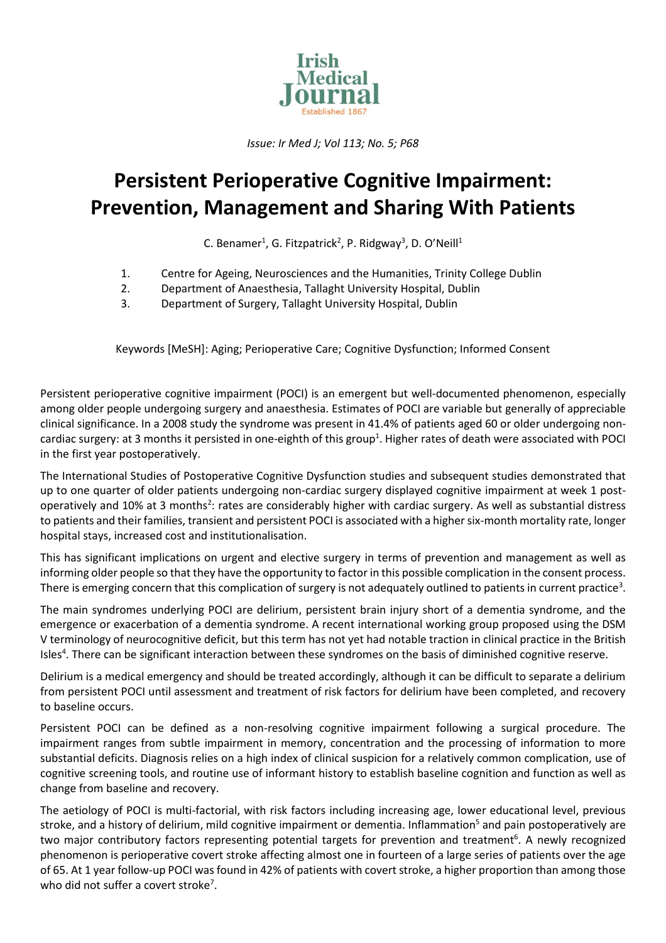

*Issue: Ir Med J; Vol 113; No. 5; P68*

## **Persistent Perioperative Cognitive Impairment: Prevention, Management and Sharing With Patients**

C. Benamer<sup>1</sup>, G. Fitzpatrick<sup>2</sup>, P. Ridgway<sup>3</sup>, D. O'Neill<sup>1</sup>

- 1. Centre for Ageing, Neurosciences and the Humanities, Trinity College Dublin<br>2. Department of Anaesthesia, Tallaght University Hospital, Dublin
- 2. Department of Anaesthesia, Tallaght University Hospital, Dublin
- 3. Department of Surgery, Tallaght University Hospital, Dublin

Keywords [MeSH]: Aging; Perioperative Care; Cognitive Dysfunction; Informed Consent

Persistent perioperative cognitive impairment (POCI) is an emergent but well-documented phenomenon, especially among older people undergoing surgery and anaesthesia. Estimates of POCI are variable but generally of appreciable clinical significance. In a 2008 study the syndrome was present in 41.4% of patients aged 60 or older undergoing noncardiac surgery: at 3 months it persisted in one-eighth of this group<sup>1</sup>. Higher rates of death were associated with POCI in the first year postoperatively.

The International Studies of Postoperative Cognitive Dysfunction studies and subsequent studies demonstrated that up to one quarter of older patients undergoing non-cardiac surgery displayed cognitive impairment at week 1 postoperatively and 10% at 3 months<sup>2</sup>: rates are considerably higher with cardiac surgery. As well as substantial distress to patients and their families, transient and persistent POCI is associated with a higher six-month mortality rate, longer hospital stays, increased cost and institutionalisation.

This has significant implications on urgent and elective surgery in terms of prevention and management as well as informing older people so that they have the opportunity to factor in this possible complication in the consent process. There is emerging concern that this complication of surgery is not adequately outlined to patients in current practice<sup>3</sup>.

The main syndromes underlying POCI are delirium, persistent brain injury short of a dementia syndrome, and the emergence or exacerbation of a dementia syndrome. A recent international working group proposed using the DSM V terminology of neurocognitive deficit, but this term has not yet had notable traction in clinical practice in the British Isles<sup>4</sup>. There can be significant interaction between these syndromes on the basis of diminished cognitive reserve.

Delirium is a medical emergency and should be treated accordingly, although it can be difficult to separate a delirium from persistent POCI until assessment and treatment of risk factors for delirium have been completed, and recovery to baseline occurs.

Persistent POCI can be defined as a non-resolving cognitive impairment following a surgical procedure. The impairment ranges from subtle impairment in memory, concentration and the processing of information to more substantial deficits. Diagnosis relies on a high index of clinical suspicion for a relatively common complication, use of cognitive screening tools, and routine use of informant history to establish baseline cognition and function as well as change from baseline and recovery.

The aetiology of POCI is multi-factorial, with risk factors including increasing age, lower educational level, previous stroke, and a history of delirium, mild cognitive impairment or dementia. Inflammation<sup>5</sup> and pain postoperatively are two major contributory factors representing potential targets for prevention and treatment<sup>6</sup>. A newly recognized phenomenon is perioperative covert stroke affecting almost one in fourteen of a large series of patients over the age of 65. At 1 year follow-up POCI was found in 42% of patients with covert stroke, a higher proportion than among those who did not suffer a covert stroke<sup>7</sup>.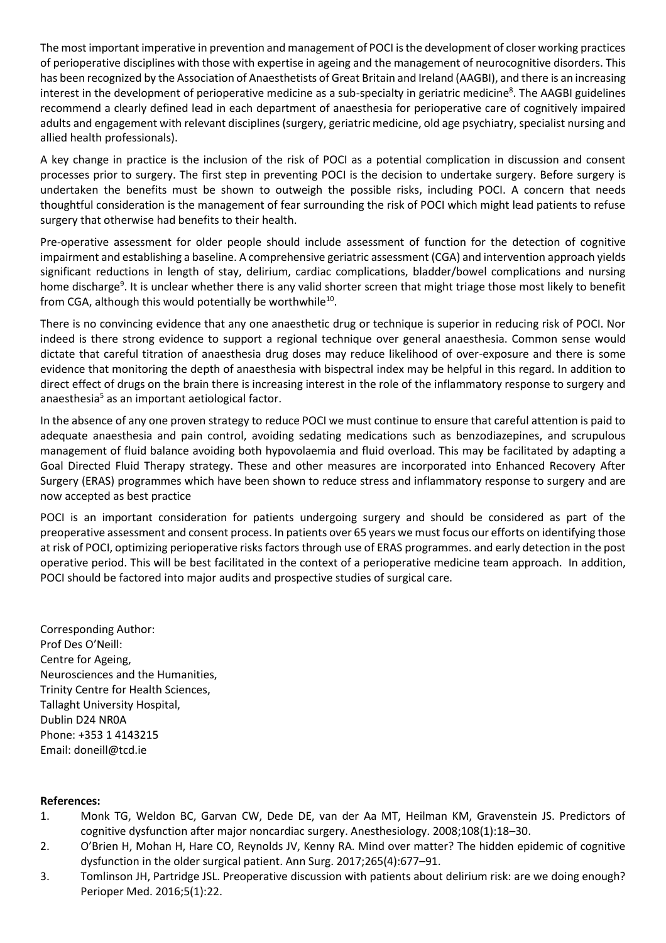The most important imperative in prevention and management of POCI is the development of closer working practices of perioperative disciplines with those with expertise in ageing and the management of neurocognitive disorders. This has been recognized by the Association of Anaesthetists of Great Britain and Ireland (AAGBI), and there is an increasing interest in the development of perioperative medicine as a sub-specialty in geriatric medicine 8 . The AAGBI guidelines recommend a clearly defined lead in each department of anaesthesia for perioperative care of cognitively impaired adults and engagement with relevant disciplines (surgery, geriatric medicine, old age psychiatry, specialist nursing and allied health professionals).

A key change in practice is the inclusion of the risk of POCI as a potential complication in discussion and consent processes prior to surgery. The first step in preventing POCI is the decision to undertake surgery. Before surgery is undertaken the benefits must be shown to outweigh the possible risks, including POCI. A concern that needs thoughtful consideration is the management of fear surrounding the risk of POCI which might lead patients to refuse surgery that otherwise had benefits to their health.

Pre-operative assessment for older people should include assessment of function for the detection of cognitive impairment and establishing a baseline. A comprehensive geriatric assessment (CGA) and intervention approach yields significant reductions in length of stay, delirium, cardiac complications, bladder/bowel complications and nursing home discharge<sup>9</sup>. It is unclear whether there is any valid shorter screen that might triage those most likely to benefit from CGA, although this would potentially be worthwhile $^{10}$ .

There is no convincing evidence that any one anaesthetic drug or technique is superior in reducing risk of POCI. Nor indeed is there strong evidence to support a regional technique over general anaesthesia. Common sense would dictate that careful titration of anaesthesia drug doses may reduce likelihood of over-exposure and there is some evidence that monitoring the depth of anaesthesia with bispectral index may be helpful in this regard. In addition to direct effect of drugs on the brain there is increasing interest in the role of the inflammatory response to surgery and anaesthesia<sup>5</sup> as an important aetiological factor.

In the absence of any one proven strategy to reduce POCI we must continue to ensure that careful attention is paid to adequate anaesthesia and pain control, avoiding sedating medications such as benzodiazepines, and scrupulous management of fluid balance avoiding both hypovolaemia and fluid overload. This may be facilitated by adapting a Goal Directed Fluid Therapy strategy. These and other measures are incorporated into Enhanced Recovery After Surgery (ERAS) programmes which have been shown to reduce stress and inflammatory response to surgery and are now accepted as best practice

POCI is an important consideration for patients undergoing surgery and should be considered as part of the preoperative assessment and consent process. In patients over 65 years we must focus our efforts on identifying those at risk of POCI, optimizing perioperative risks factors through use of ERAS programmes. and early detection in the post operative period. This will be best facilitated in the context of a perioperative medicine team approach. In addition, POCI should be factored into major audits and prospective studies of surgical care.

Corresponding Author: Prof Des O'Neill: Centre for Ageing, Neurosciences and the Humanities, Trinity Centre for Health Sciences, Tallaght University Hospital, Dublin D24 NR0A Phone: +353 1 4143215 Email: [doneill@tcd.ie](mailto:doneill@tcd.ie)

## **References:**

- 1. Monk TG, Weldon BC, Garvan CW, Dede DE, van der Aa MT, Heilman KM, Gravenstein JS. Predictors of cognitive dysfunction after major noncardiac surgery. Anesthesiology. 2008;108(1):18–30.
- 2. O'Brien H, Mohan H, Hare CO, Reynolds JV, Kenny RA. Mind over matter? The hidden epidemic of cognitive dysfunction in the older surgical patient. Ann Surg. 2017;265(4):677–91.
- 3. Tomlinson JH, Partridge JSL. Preoperative discussion with patients about delirium risk: are we doing enough? Perioper Med. 2016;5(1):22.